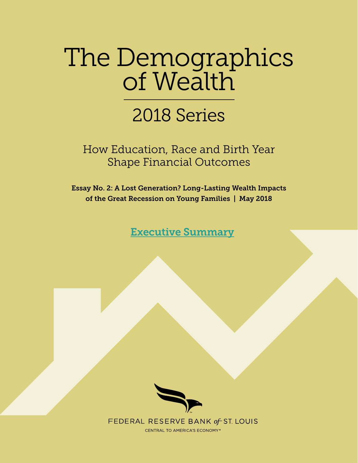# The Demographics of Wealth

# 2018 Series

How Education, Race and Birth Year Shape Financial Outcomes

Essay No. 2: A Lost Generation? Long-Lasting Wealth Impacts of the Great Recession on Young Families | May 2018

[Executive Summary](https://www.stlouisfed.org/household-financial-stability/the-demographics-of-wealth/wealth-impacts-of-great-recession-on-young-families)



FEDERAL RESERVE BANK of ST. LOUIS

**CENTRAL TO AMERICA'S ECONOMY®**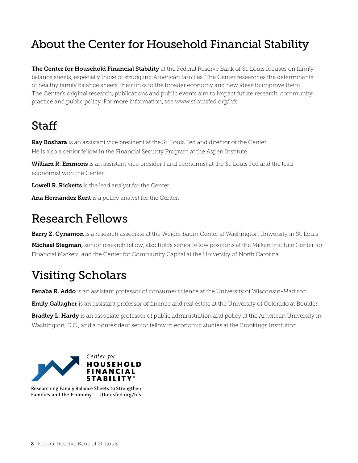### About the Center for Household Financial Stability

The Center for Household Financial Stability at the Federal Reserve Bank of St. Louis focuses on family balance sheets, especially those of struggling American families. The Center researches the determinants of healthy family balance sheets, their links to the broader economy and new ideas to improve them. The Center's original research, publications and public events aim to impact future research, community practice and public policy. For more information, see www.stlouisfed.org/hfs.

## Staff

Ray Boshara is an assistant vice president at the St. Louis Fed and director of the Center. He is also a senior fellow in the Financial Security Program at the Aspen Institute.

William R. Emmons is an assistant vice president and economist at the St. Louis Fed and the lead economist with the Center.

Lowell R. Ricketts is the lead analyst for the Center.

Ana Hernández Kent is a policy analyst for the Center.

### Research Fellows

Barry Z. Cynamon is a research associate at the Weidenbaum Center at Washington University in St. Louis.

Michael Stegman, senior research fellow, also holds senior fellow positions at the Milken Institute Center for Financial Markets, and the Center for Community Capital at the University of North Carolina.

### Visiting Scholars

Fenaba R. Addo is an assistant professor of consumer science at the University of Wisconsin-Madison.

Emily Gallagher is an assistant professor of finance and real estate at the University of Colorado at Boulder.

Bradley L. Hardy is an associate professor of public administration and policy at the American University in Washington, D.C., and a nonresident senior fellow in economic studies at the Brookings Institution.



Researching Family Balance Sheets to Strengthen Families and the Economy | stlouisfed.org/hfs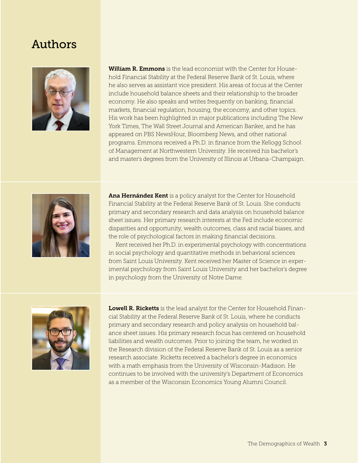### Authors



**William R. Emmons** is the lead economist with the Center for Household Financial Stability at the Federal Reserve Bank of St. Louis, where he also serves as assistant vice president. His areas of focus at the Center include household balance sheets and their relationship to the broader economy. He also speaks and writes frequently on banking, financial markets, financial regulation, housing, the economy, and other topics. His work has been highlighted in major publications including The New York Times, The Wall Street Journal and American Banker, and he has appeared on PBS NewsHour, Bloomberg News, and other national programs. Emmons received a Ph.D. in finance from the Kellogg School of Management at Northwestern University. He received his bachelor's and master's degrees from the University of Illinois at Urbana-Champaign.



Ana Hernández Kent is a policy analyst for the Center for Household Financial Stability at the Federal Reserve Bank of St. Louis. She conducts primary and secondary research and data analysis on household balance sheet issues. Her primary research interests at the Fed include economic disparities and opportunity, wealth outcomes, class and racial biases, and the role of psychological factors in making financial decisions.

 Kent received her Ph.D. in experimental psychology with concentrations in social psychology and quantitative methods in behavioral sciences from Saint Louis University. Kent received her Master of Science in experimental psychology from Saint Louis University and her bachelor's degree in psychology from the University of Notre Dame.



Lowell R. Ricketts is the lead analyst for the Center for Household Financial Stability at the Federal Reserve Bank of St. Louis, where he conducts primary and secondary research and policy analysis on household balance sheet issues. His primary research focus has centered on household liabilities and wealth outcomes. Prior to joining the team, he worked in the Research division of the Federal Reserve Bank of St. Louis as a senior research associate. Ricketts received a bachelor's degree in economics with a math emphasis from the University of Wisconsin-Madison. He continues to be involved with the university's Department of Economics as a member of the Wisconsin Economics Young Alumni Council.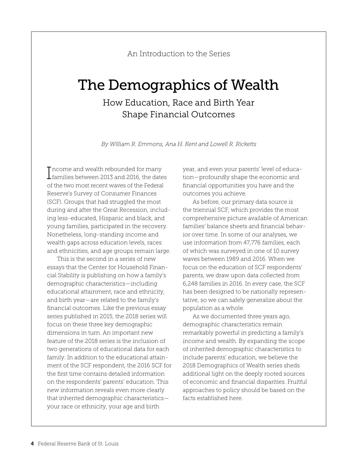#### An Introduction to the Series

# The Demographics of Wealth

### How Education, Race and Birth Year Shape Financial Outcomes

*By William R. Emmons, Ana H. Kent and Lowell R. Ricketts*

Income and wealth rebounded for many<br>I families between 2013 and 2016, the dates  $\mathsf T$  ncome and wealth rebounded for many of the two most recent waves of the Federal Reserve's Survey of Consumer Finances (SCF). Groups that had struggled the most during and after the Great Recession, including less-educated, Hispanic and black, and young families, participated in the recovery. Nonetheless, long-standing income and wealth gaps across education levels, races and ethnicities, and age groups remain large.

This is the second in a series of new essays that the Center for Household Financial Stability is publishing on how a family's demographic characteristics—including educational attainment, race and ethnicity, and birth year—are related to the family's financial outcomes. Like the previous essay series published in 2015, the 2018 series will focus on these three key demographic dimensions in turn. An important new feature of the 2018 series is the inclusion of two generations of educational data for each family. In addition to the educational attainment of the SCF respondent, the 2016 SCF for the first time contains detailed information on the respondents' parents' education. This new information reveals even more clearly that inherited demographic characteristics your race or ethnicity, your age and birth

year, and even your parents' level of education—profoundly shape the economic and financial opportunities you have and the outcomes you achieve.

As before, our primary data source is the triennial SCF, which provides the most comprehensive picture available of American families' balance sheets and financial behavior over time. In some of our analyses, we use information from 47,776 families, each of which was surveyed in one of 10 survey waves between 1989 and 2016. When we focus on the education of SCF respondents' parents, we draw upon data collected from 6,248 families in 2016. In every case, the SCF has been designed to be nationally representative, so we can safely generalize about the population as a whole.

As we documented three years ago, demographic characteristics remain remarkably powerful in predicting a family's income and wealth. By expanding the scope of inherited demographic characteristics to include parents' education, we believe the 2018 Demographics of Wealth series sheds additional light on the deeply rooted sources of economic and financial disparities. Fruitful approaches to policy should be based on the facts established here.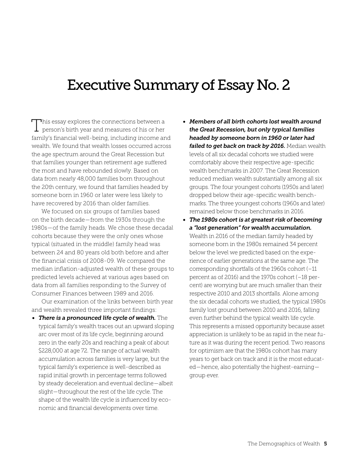## Executive Summary of Essay No. 2

This essay explores the connections between a  $\perp$  person's birth year and measures of his or her family's financial well-being, including income and wealth. We found that wealth losses occurred across the age spectrum around the Great Recession but that families younger than retirement age suffered the most and have rebounded slowly. Based on data from nearly 48,000 families born throughout the 20th century, we found that families headed by someone born in 1960 or later were less likely to have recovered by 2016 than older families.

We focused on six groups of families based on the birth decade—from the 1930s through the 1980s—of the family heads. We chose these decadal cohorts because they were the only ones whose typical (situated in the middle) family head was between 24 and 80 years old both before and after the financial crisis of 2008-09. We compared the median inflation-adjusted wealth of these groups to predicted levels achieved at various ages based on data from all families responding to the Survey of Consumer Finances between 1989 and 2016.

Our examination of the links between birth year and wealth revealed three important findings:

*• There is a pronounced life cycle of wealth.* The typical family's wealth traces out an upward sloping arc over most of its life cycle, beginning around zero in the early 20s and reaching a peak of about \$228,000 at age 72. The range of actual wealth accumulation across families is very large, but the typical family's experience is well-described as rapid initial growth in percentage terms followed by steady deceleration and eventual decline—albeit slight—throughout the rest of the life cycle. The shape of the wealth life cycle is influenced by economic and financial developments over time.

- *• Members of all birth cohorts lost wealth around the Great Recession, but only typical families headed by someone born in 1960 or later had failed to get back on track by 2016.* Median wealth levels of all six decadal cohorts we studied were comfortably above their respective age-specific wealth benchmarks in 2007. The Great Recession reduced median wealth substantially among all six groups. The four youngest cohorts (1950s and later) dropped below their age-specific wealth benchmarks. The three youngest cohorts (1960s and later) remained below those benchmarks in 2016.
- *• The 1980s cohort is at greatest risk of becoming a "lost generation" for wealth accumulation.* Wealth in 2016 of the median family headed by someone born in the 1980s remained 34 percent below the level we predicted based on the experience of earlier generations at the same age. The corresponding shortfalls of the 1960s cohort (–11 percent as of 2016) and the 1970s cohort (–18 percent) are worrying but are much smaller than their respective 2010 and 2013 shortfalls. Alone among the six decadal cohorts we studied, the typical 1980s family lost ground between 2010 and 2016, falling even further behind the typical wealth life cycle. This represents a missed opportunity because asset appreciation is unlikely to be as rapid in the near future as it was during the recent period. Two reasons for optimism are that the 1980s cohort has many years to get back on track and it is the most educated—hence, also potentially the highest-earning group ever.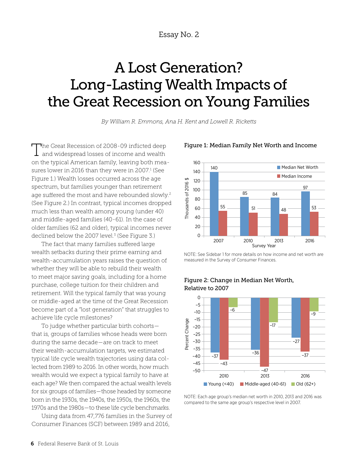Essay No. 2

# A Lost Generation? Long-Lasting Wealth Impacts of the Great Recession on Young Families

*By William R. Emmons, Ana H. Kent and Lowell R. Ricketts*

The Great Recession of 2008-09 inflicted deep and widespread losses of income and wealth on the typical American family, leaving both measures lower in 2016 than they were in 2007.<sup>1</sup> (See Figure 1.) Wealth losses occurred across the age spectrum, but families younger than retirement age suffered the most and have rebounded slowly.<sup>2</sup> (See Figure 2.) In contrast, typical incomes dropped much less than wealth among young (under 40) and middle-aged families (40-61). In the case of older families (62 and older), typical incomes never declined below the 2007 level.<sup>3</sup> (See Figure 3.)

The fact that many families suffered large wealth setbacks during their prime earning and wealth-accumulation years raises the question of whether they will be able to rebuild their wealth to meet major saving goals, including for a home purchase, college tuition for their children and retirement. Will the typical family that was young or middle-aged at the time of the Great Recession become part of a "lost generation" that struggles to achieve life cycle milestones?

To judge whether particular birth cohorts that is, groups of families whose heads were born during the same decade—are on track to meet their wealth-accumulation targets, we estimated typical life cycle wealth trajectories using data collected from 1989 to 2016. In other words, how much wealth would we expect a typical family to have at each age? We then compared the actual wealth levels for six groups of families—those headed by someone born in the 1930s, the 1940s, the 1950s, the 1960s, the 1970s and the 1980s—to these life cycle benchmarks.

Using data from 47,776 families in the Survey of Consumer Finances (SCF) between 1989 and 2016,



#### Figure 1: Median Family Net Worth and Income

NOTE: See Sidebar 1 for more details on how income and net worth are measured in the Survey of Consumer Finances.



#### Figure 2: Change in Median Net Worth, Relative to 2007

NOTE: Each age group's median net worth in 2010, 2013 and 2016 was compared to the same age group's respective level in 2007.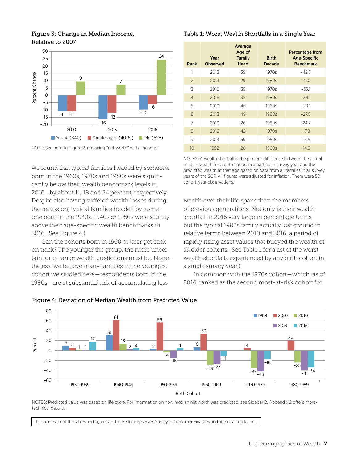#### 30 24 25 20 15 Percent Change Percent Change 9 10 7 5 0 –5 –6 –10 –10 –11 –11 –12 –15 –16 –20 2010 2013 2016

#### Figure 3: Change in Median Income, Relative to 2007

NOTE: See note to Figure 2, replacing "net worth" with "income."

 $\blacksquare$  Middle-aged (40-61)  $\blacksquare$  Old (62+)

Young  $(40)$ 

we found that typical families headed by someone born in the 1960s, 1970s and 1980s were significantly below their wealth benchmark levels in 2016—by about 11, 18 and 34 percent, respectively. Despite also having suffered wealth losses during the recession, typical families headed by someone born in the 1930s, 1940s or 1950s were slightly above their age-specific wealth benchmarks in 2016. (See Figure 4.)

Can the cohorts born in 1960 or later get back on track? The younger the group, the more uncertain long-range wealth predictions must be. Nonetheless, we believe many families in the youngest cohort we studied here—respondents born in the 1980s—are at substantial risk of accumulating less

#### Table 1: Worst Wealth Shortfalls in a Single Year

| Rank           | Year<br><b>Observed</b> | Average<br>Age of<br>Family<br>Head | <b>Birth</b><br>Decade | <b>Percentage from</b><br><b>Age-Specific</b><br><b>Benchmark</b> |
|----------------|-------------------------|-------------------------------------|------------------------|-------------------------------------------------------------------|
|                | 2013                    | 39                                  | 1970s                  | $-42.7$                                                           |
| $\mathcal{P}$  | 2013                    | 29                                  | 1980s                  | $-41.0$                                                           |
| 3              | 2010                    | 35                                  | 1970s                  | $-35.1$                                                           |
| $\overline{4}$ | 2016                    | 32                                  | 1980s                  | $-34.1$                                                           |
| 5              | 2010                    | 46                                  | 1960s                  | $-29.1$                                                           |
| 6              | 2013                    | 49                                  | 1960s                  | $-27.5$                                                           |
| 7              | 2010                    | 26                                  | 1980s                  | $-24.7$                                                           |
| 8              | 2016                    | 42                                  | 1970s                  | $-17.8$                                                           |
| 9              | 2013                    | 59                                  | 1950s                  | $-15.5$                                                           |
| 10             | 1992                    | 28                                  | 1960s                  | $-14.9$                                                           |

NOTES: A wealth shortfall is the percent difference between the actual median wealth for a birth cohort in a particular survey year and the predicted wealth at that age based on data from all families in all survey years of the SCF. All figures were adjusted for inflation. There were 50 cohort-year observations.

wealth over their life spans than the members of previous generations. Not only is their wealth shortfall in 2016 very large in percentage terms, but the typical 1980s family actually lost ground in relative terms between 2010 and 2016, a period of rapidly rising asset values that buoyed the wealth of all older cohorts. (See Table 1 for a list of the worst wealth shortfalls experienced by any birth cohort in a single survey year.)

In common with the 1970s cohort—which, as of 2016, ranked as the second most-at-risk cohort for



#### Figure 4: Deviation of Median Wealth from Predicted Value

NOTES: Predicted value was based on life cycle. For information on how median net worth was predicted, see Sidebar 2. Appendix 2 offers moretechnical details.

The sources for all the tables and figures are the Federal Reserve's Survey of Consumer Finances and authors' calculations.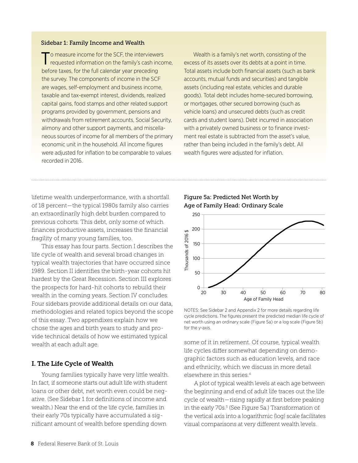#### Sidebar 1: Family Income and Wealth

o measure income for the SCF, the interviewers requested information on the family's cash income, before taxes, for the full calendar year preceding the survey. The components of income in the SCF are wages, self-employment and business income, taxable and tax-exempt interest, dividends, realized capital gains, food stamps and other related support programs provided by government, pensions and withdrawals from retirement accounts, Social Security, alimony and other support payments, and miscellaneous sources of income for all members of the primary economic unit in the household. All income figures were adjusted for inflation to be comparable to values recorded in 2016.

 Wealth is a family's net worth, consisting of the excess of its assets over its debts at a point in time. Total assets include both financial assets (such as bank accounts, mutual funds and securities) and tangible assets (including real estate, vehicles and durable goods). Total debt includes home-secured borrowing, or mortgages, other secured borrowing (such as vehicle loans) and unsecured debts (such as credit cards and student loans). Debt incurred in association with a privately owned business or to finance investment real estate is subtracted from the asset's value, rather than being included in the family's debt. All wealth figures were adjusted for inflation.

lifetime wealth underperformance, with a shortfall of 18 percent—the typical 1980s family also carries an extraordinarily high debt burden compared to previous cohorts. This debt, only some of which finances productive assets, increases the financial fragility of many young families, too.

This essay has four parts. Section I describes the life cycle of wealth and several broad changes in typical wealth trajectories that have occurred since 1989. Section II identifies the birth-year cohorts hit hardest by the Great Recession. Section III explores the prospects for hard-hit cohorts to rebuild their wealth in the coming years. Section IV concludes. Four sidebars provide additional details on our data, methodologies and related topics beyond the scope of this essay. Two appendixes explain how we chose the ages and birth years to study and provide technical details of how we estimated typical wealth at each adult age.

#### I. The Life Cycle of Wealth

Young families typically have very little wealth. In fact, if someone starts out adult life with student loans or other debt, net worth even could be negative. (See Sidebar 1 for definitions of income and wealth.) Near the end of the life cycle, families in their early 70s typically have accumulated a significant amount of wealth before spending down

Figure 5a: Predicted Net Worth by Age of Family Head: Ordinary Scale



NOTES: See Sidebar 2 and Appendix 2 for more details regarding life cycle predictions. The figures present the predicted median life cycle of net worth using an ordinary scale (Figure 5a) or a log scale (Figure 5b) for the y-axis.

some of it in retirement. Of course, typical wealth life cycles differ somewhat depending on demographic factors such as education levels, and race and ethnicity, which we discuss in more detail elsewhere in this series.4

A plot of typical wealth levels at each age between the beginning and end of adult life traces out the life cycle of wealth—rising rapidly at first before peaking in the early 70s.5 (See Figure 5a.) Transformation of the vertical axis into a logarithmic (log) scale facilitates visual comparisons at very different wealth levels.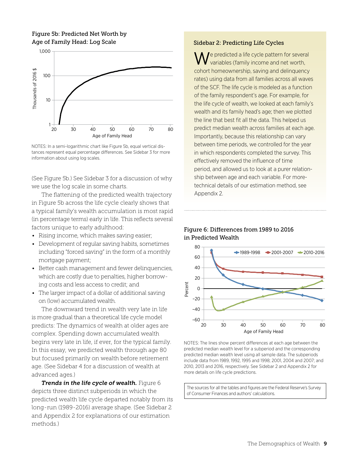#### Figure 5b: Predicted Net Worth by Age of Family Head: Log Scale





(See Figure 5b.) See Sidebar 3 for a discussion of why we use the log scale in some charts.

The flattening of the predicted wealth trajectory in Figure 5b across the life cycle clearly shows that a typical family's wealth accumulation is most rapid (in percentage terms) early in life. This reflects several factors unique to early adulthood:

- Rising income, which makes saving easier;
- Development of regular saving habits, sometimes including "forced saving" in the form of a monthly mortgage payment;
- Better cash management and fewer delinquencies, which are costly due to penalties, higher borrowing costs and less access to credit; and
- The larger impact of a dollar of additional saving on (low) accumulated wealth.

The downward trend in wealth very late in life is more gradual than a theoretical life cycle model predicts: The dynamics of wealth at older ages are complex. Spending down accumulated wealth begins very late in life, if ever, for the typical family. In this essay, we predicted wealth through age 80 but focused primarily on wealth before retirement age. (See Sidebar 4 for a discussion of wealth at advanced ages.)

*Trends in the life cycle of wealth.* Figure 6 depicts three distinct subperiods in which the predicted wealth life cycle departed notably from its long-run (1989-2016) average shape. (See Sidebar 2 and Appendix 2 for explanations of our estimation methods.)

#### Sidebar 2: Predicting Life Cycles

 $\blacksquare$  e predicted a life cycle pattern for several variables (family income and net worth, cohort homeownership, saving and delinquency rates) using data from all families across all waves of the SCF. The life cycle is modeled as a function of the family respondent's age. For example, for the life cycle of wealth, we looked at each family's wealth and its family head's age; then we plotted the line that best fit all the data. This helped us predict median wealth across families at each age. Importantly, because this relationship can vary between time periods, we controlled for the year in which respondents completed the survey. This effectively removed the influence of time period, and allowed us to look at a purer relationship between age and each variable. For moretechnical details of our estimation method, see Appendix 2.

#### Figure 6: Differences from 1989 to 2016 in Predicted Wealth



NOTES: The lines show percent differences at each age between the predicted median wealth level for a subperiod and the corresponding predicted median wealth level using all sample data. The subperiods include data from 1989, 1992, 1995 and 1998; 2001, 2004 and 2007; and 2010, 2013 and 2016, respectively. See Sidebar 2 and Appendix 2 for more details on life cycle predictions.

The sources for all the tables and figures are the Federal Reserve's Survey of Consumer Finances and authors' calculations.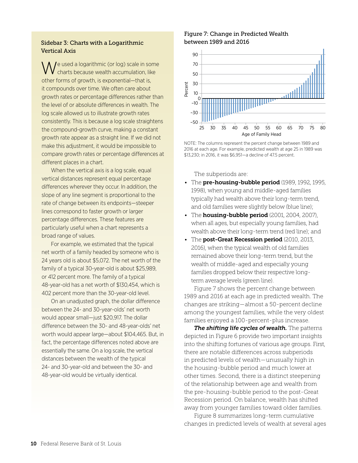#### Sidebar 3: Charts with a Logarithmic Vertical Axis

Je used a logarithmic (or log) scale in some charts because wealth accumulation, like other forms of growth, is exponential—that is, it compounds over time. We often care about growth rates or percentage differences rather than the level of or absolute differences in wealth. The log scale allowed us to illustrate growth rates consistently. This is because a log scale straightens the compound-growth curve, making a constant growth rate appear as a straight line. If we did not make this adjustment, it would be impossible to compare growth rates or percentage differences at different places in a chart.

 When the vertical axis is a log scale, equal vertical distances represent equal percentage differences wherever they occur. In addition, the slope of any line segment is proportional to the rate of change between its endpoints—steeper lines correspond to faster growth or larger percentage differences. These features are particularly useful when a chart represents a broad range of values.

 For example, we estimated that the typical net worth of a family headed by someone who is 24 years old is about \$5,072. The net worth of the family of a typical 30-year-old is about \$25,989, or 412 percent more. The family of a typical 48-year-old has a net worth of \$130,454, which is 402 percent more than the 30-year-old level.

 On an unadjusted graph, the dollar difference between the 24- and 30-year-olds' net worth would appear small—just \$20,917. The dollar difference between the 30- and 48-year-olds' net worth would appear large—about \$104,465. But, in fact, the percentage differences noted above are essentially the same. On a log scale, the vertical distances between the wealth of the typical 24- and 30-year-old and between the 30- and 48-year-old would be virtually identical.

#### Figure 7: Change in Predicted Wealth between 1989 and 2016



NOTE: The columns represent the percent change between 1989 and 2016 at each age. For example, predicted wealth at age 25 in 1989 was \$13,230; in 2016, it was \$6,951—a decline of 47.5 percent.

The subperiods are:

- The pre-housing-bubble period (1989, 1992, 1995, 1998), when young and middle-aged families typically had wealth above their long-term trend, and old families were slightly below (blue line);
- The **housing-bubble period** (2001, 2004, 2007), when all ages, but especially young families, had wealth above their long-term trend (red line); and
- The post-Great Recession period (2010, 2013, 2016), when the typical wealth of old families remained above their long-term trend, but the wealth of middle-aged and especially young families dropped below their respective longterm average levels (green line).

Figure 7 shows the percent change between 1989 and 2016 at each age in predicted wealth. The changes are striking—almost a 50-percent decline among the youngest families, while the very oldest families enjoyed a 100-percent-plus increase.

*The shifting life cycles of wealth.* The patterns depicted in Figure 6 provide two important insights into the shifting fortunes of various age groups. First, there are notable differences across subperiods in predicted levels of wealth—unusually high in the housing-bubble period and much lower at other times. Second, there is a distinct steepening of the relationship between age and wealth from the pre-housing-bubble period to the post-Great Recession period. On balance, wealth has shifted away from younger families toward older families.

Figure 8 summarizes long-term cumulative changes in predicted levels of wealth at several ages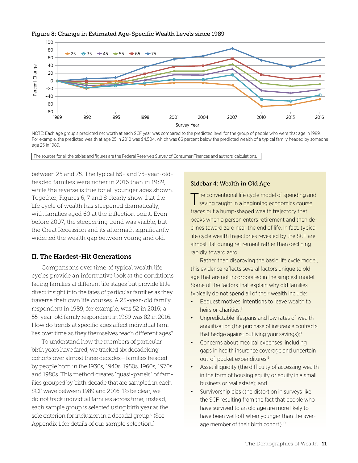#### Figure 8: Change in Estimated Age-Specific Wealth Levels since 1989



NOTE: Each age group's predicted net worth at each SCF year was compared to the predicted level for the group of people who were that age in 1989. For example, the predicted wealth at age 25 in 2010 was \$4,504, which was 66 percent below the predicted wealth of a typical family headed by someone age 25 in 1989.

The sources for all the tables and figures are the Federal Reserve's Survey of Consumer Finances and authors' calculations.

between 25 and 75. The typical 65- and 75-year-oldheaded families were richer in 2016 than in 1989, while the reverse is true for all younger ages shown. Together, Figures 6, 7 and 8 clearly show that the life cycle of wealth has steepened dramatically, with families aged 60 at the inflection point. Even before 2007, the steepening trend was visible, but the Great Recession and its aftermath significantly widened the wealth gap between young and old.

#### II. The Hardest-Hit Generations

Comparisons over time of typical wealth life cycles provide an informative look at the conditions facing families at different life stages but provide little direct insight into the fates of particular families as they traverse their own life courses. A 25-year-old family respondent in 1989, for example, was 52 in 2016; a 55-year-old family respondent in 1989 was 82 in 2016. How do trends at specific ages affect individual families over time as they themselves reach different ages?

To understand how the members of particular birth years have fared, we tracked six decadelong cohorts over almost three decades—families headed by people born in the 1930s, 1940s, 1950s, 1960s, 1970s and 1980s. This method creates "quasi-panels" of families grouped by birth decade that are sampled in each SCF wave between 1989 and 2016. To be clear, we do not track individual families across time; instead, each sample group is selected using birth year as the sole criterion for inclusion in a decadal group.6 (See Appendix 1 for details of our sample selection.)

#### Sidebar 4: Wealth in Old Age

The conventional life cycle model of spending and saving taught in a beginning economics course traces out a hump-shaped wealth trajectory that peaks when a person enters retirement and then declines toward zero near the end of life. In fact, typical life cycle wealth trajectories revealed by the SCF are almost flat during retirement rather than declining rapidly toward zero.

 Rather than disproving the basic life cycle model, this evidence reflects several factors unique to old age that are not incorporated in the simplest model. Some of the factors that explain why old families typically do not spend all of their wealth include:

- Bequest motives: intentions to leave wealth to heirs or charities:<sup>7</sup>
- Unpredictable lifespans and low rates of wealth annuitization (the purchase of insurance contracts that hedge against outliving your savings);<sup>8</sup>
- Concerns about medical expenses, including gaps in health insurance coverage and uncertain out-of-pocket expenditures;9
- Asset illiquidity (the difficulty of accessing wealth in the form of housing equity or equity in a small business or real estate); and
- Survivorship bias (the distortion in surveys like the SCF resulting from the fact that people who have survived to an old age are more likely to have been well-off when younger than the average member of their birth cohort).<sup>10</sup>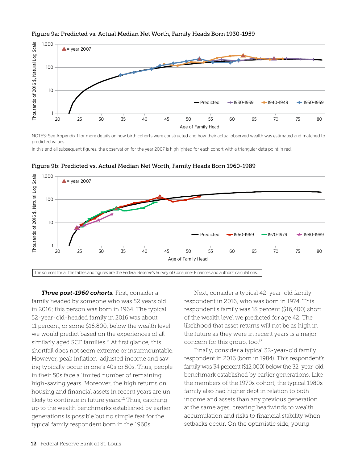



NOTES: See Appendix 1 for more details on how birth cohorts were constructed and how their actual observed wealth was estimated and matched to predicted values.

In this and all subsequent figures, the observation for the year 2007 is highlighted for each cohort with a triangular data point in red.



Figure 9b: Predicted vs. Actual Median Net Worth, Family Heads Born 1960-1989

*Three post-1960 cohorts.* First, consider a family headed by someone who was 52 years old in 2016; this person was born in 1964. The typical 52-year-old-headed family in 2016 was about 11 percent, or some \$16,800, below the wealth level we would predict based on the experiences of all similarly aged SCF families.<sup>11</sup> At first glance, this shortfall does not seem extreme or insurmountable. However, peak inflation-adjusted income and saving typically occur in one's 40s or 50s. Thus, people in their 50s face a limited number of remaining high-saving years. Moreover, the high returns on housing and financial assets in recent years are unlikely to continue in future years.<sup>12</sup> Thus, catching up to the wealth benchmarks established by earlier generations is possible but no simple feat for the typical family respondent born in the 1960s.

Next, consider a typical 42-year-old family respondent in 2016, who was born in 1974. This respondent's family was 18 percent (\$16,400) short of the wealth level we predicted for age 42. The likelihood that asset returns will not be as high in the future as they were in recent years is a major concern for this group, too.<sup>13</sup>

Finally, consider a typical 32-year-old family respondent in 2016 (born in 1984). This respondent's family was 34 percent (\$12,000) below the 32-year-old benchmark established by earlier generations. Like the members of the 1970s cohort, the typical 1980s family also had higher debt in relation to both income and assets than any previous generation at the same ages, creating headwinds to wealth accumulation and risks to financial stability when setbacks occur. On the optimistic side, young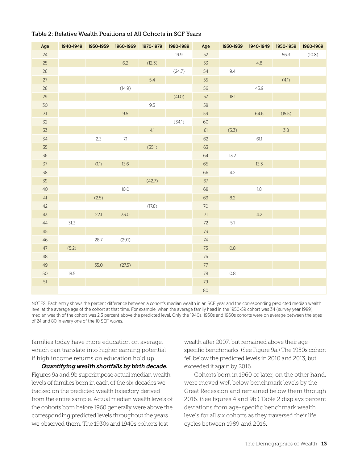| Age    |        | 1940-1949 1950-1959 | 1960-1969 | 1970-1979 | 1980-1989 | Age             | 1930-1939 | 1940-1949 | 1950-1959 | 1960-1969 |
|--------|--------|---------------------|-----------|-----------|-----------|-----------------|-----------|-----------|-----------|-----------|
| 24     |        |                     |           |           | 19.9      | 52              |           |           | 56.3      | (10.8)    |
| $25\,$ |        |                     | 6.2       | (12.3)    |           | 53              |           | 4.8       |           |           |
| $26\,$ |        |                     |           |           | (24.7)    | 54              | 9.4       |           |           |           |
| 27     |        |                     |           | $5.4\,$   |           | 55              |           |           | (4.1)     |           |
| 28     |        |                     | (14.9)    |           |           | 56              |           | 45.9      |           |           |
| 29     |        |                     |           |           | (41.0)    | 57              | 18.1      |           |           |           |
| $30$   |        |                     |           | $9.5\,$   |           | 58              |           |           |           |           |
| 31     |        |                     | 9.5       |           |           | 59              |           | 64.6      | (15.5)    |           |
| 32     |        |                     |           |           | (34.1)    | 60              |           |           |           |           |
| 33     |        |                     |           | 4.1       |           | $61\,$          | (5.3)     |           | 3.8       |           |
| 34     |        | 2.3                 | $7.1\,$   |           |           | 62              |           | 61.1      |           |           |
| 35     |        |                     |           | (35.1)    |           | 63              |           |           |           |           |
| $36\,$ |        |                     |           |           |           | 64              | 13.2      |           |           |           |
| 37     |        | (1.1)               | 13.6      |           |           | 65              |           | 13.3      |           |           |
| 38     |        |                     |           |           |           | 66              | 4.2       |           |           |           |
| 39     |        |                     |           | (42.7)    |           | 67              |           |           |           |           |
| $40\,$ |        |                     | 10.0      |           |           | 68              |           | $1.8\,$   |           |           |
| 41     |        | (2.5)               |           |           |           | 69              | 8.2       |           |           |           |
| 42     |        |                     |           | (17.8)    |           | $70\,$          |           |           |           |           |
| 43     |        | 22.1                | 33.0      |           |           | $71$            |           | 4.2       |           |           |
| $44$   | $31.3$ |                     |           |           |           | $72\,$          | $5.1$     |           |           |           |
| $45\,$ |        |                     |           |           |           | $7\overline{3}$ |           |           |           |           |
| $46\,$ |        | 28.7                | (29.1)    |           |           | $74\,$          |           |           |           |           |
| 47     | (5.2)  |                     |           |           |           | $75\,$          | $0.8\,$   |           |           |           |
| $48\,$ |        |                     |           |           |           | $76\,$          |           |           |           |           |
| $49\,$ |        | 35.0                | (27.5)    |           |           | $77\,$          |           |           |           |           |
| 50     | 18.5   |                     |           |           |           | $78\,$          | $0.8\,$   |           |           |           |
| 51     |        |                     |           |           |           | $79\,$          |           |           |           |           |
|        |        |                     |           |           |           | $80\,$          |           |           |           |           |

#### Table 2: Relative Wealth Positions of All Cohorts in SCF Years

NOTES: Each entry shows the percent difference between a cohort's median wealth in an SCF year and the corresponding predicted median wealth level at the average age of the cohort at that time. For example, when the average family head in the 1950-59 cohort was 34 (survey year 1989), median wealth of the cohort was 2.3 percent above the predicted level. Only the 1940s, 1950s and 1960s cohorts were on average between the ages of 24 and 80 in every one of the 10 SCF waves.

families today have more education on average, which can translate into higher earning potential if high income returns on education hold up.

*Quantifying wealth shortfalls by birth decade.*  Figures 9a and 9b superimpose actual median wealth levels of families born in each of the six decades we tracked on the predicted wealth trajectory derived from the entire sample. Actual median wealth levels of the cohorts born before 1960 generally were above the corresponding predicted levels throughout the years we observed them. The 1930s and 1940s cohorts lost

wealth after 2007, but remained above their agespecific benchmarks. (See Figure 9a.) The 1950s cohort fell below the predicted levels in 2010 and 2013, but exceeded it again by 2016.

Cohorts born in 1960 or later, on the other hand, were moved well below benchmark levels by the Great Recession and remained below them through 2016. (See figures 4 and 9b.) Table 2 displays percent deviations from age-specific benchmark wealth levels for all six cohorts as they traversed their life cycles between 1989 and 2016.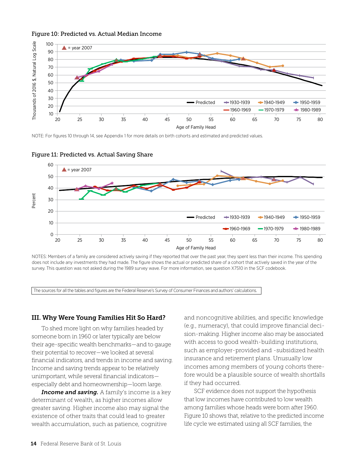#### Figure 10: Predicted vs. Actual Median Income



NOTE: For figures 10 through 14, see Appendix 1 for more details on birth cohorts and estimated and predicted values.



#### Figure 11: Predicted vs. Actual Saving Share

NOTES: Members of a family are considered actively saving if they reported that over the past year, they spent less than their income. This spending does not include any investments they had made. The figure shows the actual or predicted share of a cohort that actively saved in the year of the survey. This question was not asked during the 1989 survey wave. For more information, see question X7510 in the SCF codebook.

The sources for all the tables and figures are the Federal Reserve's Survey of Consumer Finances and authors' calculations.

#### III. Why Were Young Families Hit So Hard?

To shed more light on why families headed by someone born in 1960 or later typically are below their age-specific wealth benchmarks—and to gauge their potential to recover—we looked at several financial indicators, and trends in income and saving. Income and saving trends appear to be relatively unimportant, while several financial indicators especially debt and homeownership—loom large.

*Income and saving.* A family's income is a key determinant of wealth, as higher incomes allow greater saving. Higher income also may signal the existence of other traits that could lead to greater wealth accumulation, such as patience, cognitive

and noncognitive abilities, and specific knowledge (e.g., numeracy), that could improve financial decision-making. Higher income also may be associated with access to good wealth-building institutions, such as employer-provided and -subsidized health insurance and retirement plans. Unusually low incomes among members of young cohorts therefore would be a plausible source of wealth shortfalls if they had occurred.

SCF evidence does not support the hypothesis that low incomes have contributed to low wealth among families whose heads were born after 1960. Figure 10 shows that, relative to the predicted income life cycle we estimated using all SCF families, the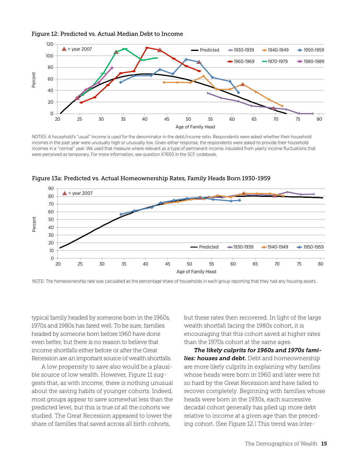



NOTES: A household's "usual" income is used for the denominator in the debt/income ratio. Respondents were asked whether their household incomes in the past year were unusually high or unusually low. Given either response, the respondents were asked to provide their household incomes in a "normal" year. We used that measure where relevant as a type of permanent income, insulated from yearly income fluctuations that were perceived as temporary. For more information, see question X7650 in the SCF codebook.



Figure 13a: Predicted vs. Actual Homeownership Rates, Family Heads Born 1930-1959

NOTE: The homeownership rate was calculated as the percentage share of households in each group reporting that they had any housing assets.

typical family headed by someone born in the 1960s, 1970s and 1980s has fared well. To be sure, families headed by someone born before 1960 have done even better, but there is no reason to believe that income shortfalls either before or after the Great Recession are an important source of wealth shortfalls.

A low propensity to save also would be a plausible source of low wealth. However, Figure 11 suggests that, as with income, there is nothing unusual about the saving habits of younger cohorts. Indeed, most groups appear to save somewhat less than the predicted level, but this is true of all the cohorts we studied. The Great Recession appeared to lower the share of families that saved across all birth cohorts,

but these rates then recovered. In light of the large wealth shortfall facing the 1980s cohort, it is encouraging that this cohort saved at higher rates than the 1970s cohort at the same ages.

*The likely culprits for 1960s and 1970s families: houses and debt.* Debt and homeownership are more likely culprits in explaining why families whose heads were born in 1960 and later were hit so hard by the Great Recession and have failed to recover completely. Beginning with families whose heads were born in the 1930s, each successive decadal cohort generally has piled up more debt relative to income at a given age than the preceding cohort. (See Figure 12.) This trend was inter-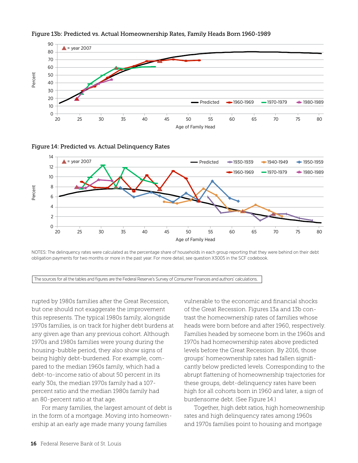

#### Figure 13b: Predicted vs. Actual Homeownership Rates, Family Heads Born 1960-1989





NOTES: The delinquency rates were calculated as the percentage share of households in each group reporting that they were behind on their debt obligation payments for two months or more in the past year. For more detail, see question X3005 in the SCF codebook.

The sources for all the tables and figures are the Federal Reserve's Survey of Consumer Finances and authors' calculations.

rupted by 1980s families after the Great Recession, but one should not exaggerate the improvement this represents. The typical 1980s family, alongside 1970s families, is on track for higher debt burdens at any given age than any previous cohort. Although 1970s and 1980s families were young during the housing-bubble period, they also show signs of being highly debt-burdened. For example, compared to the median 1960s family, which had a debt-to-income ratio of about 50 percent in its early 30s, the median 1970s family had a 107 percent ratio and the median 1980s family had an 80-percent ratio at that age.

For many families, the largest amount of debt is in the form of a mortgage. Moving into homeownership at an early age made many young families

vulnerable to the economic and financial shocks of the Great Recession. Figures 13a and 13b contrast the homeownership rates of families whose heads were born before and after 1960, respectively. Families headed by someone born in the 1960s and 1970s had homeownership rates above predicted levels before the Great Recession. By 2016, those groups' homeownership rates had fallen significantly below predicted levels. Corresponding to the abrupt flattening of homeownership trajectories for these groups, debt-delinquency rates have been high for all cohorts born in 1960 and later, a sign of burdensome debt. (See Figure 14.)

Together, high debt ratios, high homeownership rates and high delinquency rates among 1960s and 1970s families point to housing and mortgage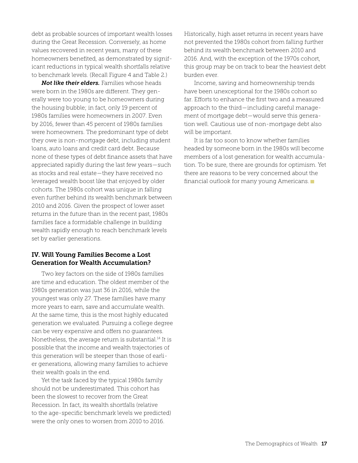debt as probable sources of important wealth losses during the Great Recession. Conversely, as home values recovered in recent years, many of these homeowners benefited, as demonstrated by significant reductions in typical wealth shortfalls relative to benchmark levels. (Recall Figure 4 and Table 2.)

*Not like their elders.* Families whose heads were born in the 1980s are different. They generally were too young to be homeowners during the housing bubble; in fact, only 19 percent of 1980s families were homeowners in 2007. Even by 2016, fewer than 45 percent of 1980s families were homeowners. The predominant type of debt they owe is non-mortgage debt, including student loans, auto loans and credit card debt. Because none of these types of debt finance assets that have appreciated rapidly during the last few years—such as stocks and real estate—they have received no leveraged wealth boost like that enjoyed by older cohorts. The 1980s cohort was unique in falling even further behind its wealth benchmark between 2010 and 2016. Given the prospect of lower asset returns in the future than in the recent past, 1980s families face a formidable challenge in building wealth rapidly enough to reach benchmark levels set by earlier generations.

#### IV. Will Young Families Become a Lost Generation for Wealth Accumulation?

Two key factors on the side of 1980s families are time and education. The oldest member of the 1980s generation was just 36 in 2016, while the youngest was only 27. These families have many more years to earn, save and accumulate wealth. At the same time, this is the most highly educated generation we evaluated. Pursuing a college degree can be very expensive and offers no guarantees. Nonetheless, the average return is substantial.14 It is possible that the income and wealth trajectories of this generation will be steeper than those of earlier generations, allowing many families to achieve their wealth goals in the end.

Yet the task faced by the typical 1980s family should not be underestimated. This cohort has been the slowest to recover from the Great Recession. In fact, its wealth shortfalls (relative to the age-specific benchmark levels we predicted) were the only ones to worsen from 2010 to 2016.

Historically, high asset returns in recent years have not prevented the 1980s cohort from falling further behind its wealth benchmark between 2010 and 2016. And, with the exception of the 1970s cohort, this group may be on track to bear the heaviest debt burden ever.

Income, saving and homeownership trends have been unexceptional for the 1980s cohort so far. Efforts to enhance the first two and a measured approach to the third—including careful management of mortgage debt—would serve this generation well. Cautious use of non-mortgage debt also will be important.

It is far too soon to know whether families headed by someone born in the 1980s will become members of a lost generation for wealth accumulation. To be sure, there are grounds for optimism. Yet there are reasons to be very concerned about the financial outlook for many young Americans.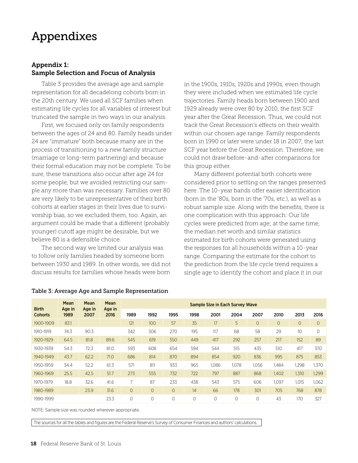### Appendixes

#### Appendix 1: Sample Selection and Focus of Analysis

Table 3 provides the average age and sample representation for all decadelong cohorts born in the 20th century. We used all SCF families when estimating life cycles for all variables of interest but truncated the sample in two ways in our analysis.

First, we focused only on family respondents between the ages of 24 and 80. Family heads under 24 are "immature" both because many are in the process of transitioning to a new family structure (marriage or long-term partnering) and because their formal education may not be complete. To be sure, these transitions also occur after age 24 for some people, but we avoided restricting our sample any more than was necessary. Families over 80 are very likely to be unrepresentative of their birth cohorts at earlier stages in their lives due to survivorship bias, so we excluded them, too. Again, an argument could be made that a different (probably younger) cutoff age might be desirable, but we believe 80 is a defensible choice.

The second way we limited our analysis was to follow only families headed by someone born between 1930 and 1989. In other words, we did not discuss results for families whose heads were born

in the 1900s, 1910s, 1920s and 1990s, even though they were included when we estimated life cycle trajectories. Family heads born between 1900 and 1929 already were over 80 by 2010, the first SCF year after the Great Recession. Thus, we could not track the Great Recession's effects on their wealth within our chosen age range. Family respondents born in 1990 or later were under 18 in 2007, the last SCF year before the Great Recession. Therefore, we could not draw before-and-after comparisons for this group either.

Many different potential birth cohorts were considered prior to settling on the ranges presented here. The 10-year bands offer easier identification (born in the '80s, born in the '70s, etc.), as well as a robust sample size. Along with the benefits, there is one complication with this approach: Our life cycles were predicted from age; at the same time, the median net worth and similar statistics estimated for birth cohorts were generated using the responses for all households within a 10-year range. Comparing the estimate for the cohort to the prediction from the life cycle trend requires a single age to identify the cohort and place it in our

|                                | Mean           | Mean           | Mean<br>Age in<br>2016 | Sample Size in Each Survey Wave |                |          |          |         |          |          |                |                  |         |
|--------------------------------|----------------|----------------|------------------------|---------------------------------|----------------|----------|----------|---------|----------|----------|----------------|------------------|---------|
| <b>Birth</b><br><b>Cohorts</b> | Age in<br>1989 | Age in<br>2007 |                        | 1989                            | 1992           | 1995     | 1998     | 2001    | 2004     | 2007     | 2010           | 2013             | 2016    |
| 1900-1909                      | 83.1           |                |                        | 121                             | 100            | 57       | 35       | 17      | 5        | $\circ$  | $\overline{O}$ | $\overline{O}$   | $\circ$ |
| 1910-1919                      | 74.3           | 90.3           |                        | 342                             | 306            | 270      | 195      | 117     | 68       | 58       | 29             | 10 <sup>10</sup> | 0       |
| 1920-1929                      | 64.5           | 81.8           | 89.6                   | 545                             | 619            | 550      | 449      | 417     | 292      | 257      | 217            | 152              | 89      |
| 1930-1939                      | 54.3           | 72.3           | 81.0                   | 593                             | 608            | 654      | 594      | 544     | 515      | 435      | 510            | 417              | 370     |
| 1940-1949                      | 43.7           | 62.2           | 71.0                   | 686                             | 814            | 870      | 894      | 854     | 920      | 836      | 995            | 875              | 853     |
| 1950-1959                      | 34.4           | 52.2           | 61.3                   | 571                             | 811            | 933      | 965      | 1,086   | 1.078    | 1,056    | 1,484          | 1,298            | 1,370   |
| 1960-1969                      | 25.5           | 42.5           | 51.7                   | 273                             | 555            | 732      | 722      | 797     | 887      | 868      | 1,402          | 1,310            | 1,299   |
| 1970-1979                      | 18.8           | 32.6           | 41.6                   |                                 | 87             | 233      | 438      | 543     | 575      | 606      | 1.097          | 1.015            | 1,062   |
| 1980-1989                      |                | 23.9           | 31.6                   | $\overline{0}$                  | $\overline{O}$ | $\circ$  | 14       | 66      | 178      | 301      | 705            | 768              | 878     |
| 1990-1999                      |                |                | 23.3                   | $\Omega$                        | $\Omega$       | $\Omega$ | $\Omega$ | $\circ$ | $\Omega$ | $\Omega$ | 43             | 170              | 327     |

#### Table 3: Average Age and Sample Representation

NOTE: Sample size was rounded wherever appropriate.

The sources for all the tables and figures are the Federal Reserve's Survey of Consumer Finances and authors' calculations.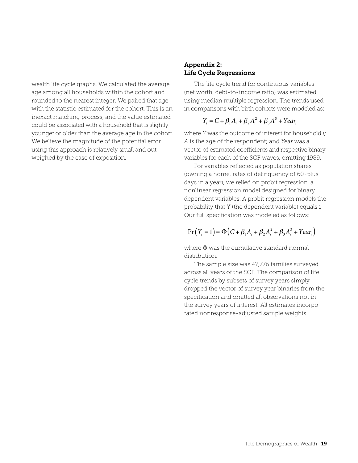wealth life cycle graphs. We calculated the average age among all households within the cohort and rounded to the nearest integer. We paired that age with the statistic estimated for the cohort. This is an inexact matching process, and the value estimated could be associated with a household that is slightly younger or older than the average age in the cohort. We believe the magnitude of the potential error using this approach is relatively small and outweighed by the ease of exposition.

#### Appendix 2: Life Cycle Regressions

The life cycle trend for continuous variables (net worth, debt-to-income ratio) was estimated using median multiple regression. The trends used in comparisons with birth cohorts were modeled as:

### $Y_i = C + \beta_1 A_i + \beta_2 A_i^2 + \beta_3 A_i^3 + Year_i^2$

where *Y* was the outcome of interest for household *i; A* is the age of the respondent; and *Year* was a vector of estimated coefficients and respective binary variables for each of the SCF waves, omitting 1989.

For variables reflected as population shares (owning a home, rates of delinquency of 60-plus days in a year), we relied on probit regression, a nonlinear regression model designed for binary dependent variables. A probit regression models the probability that Y (the dependent variable) equals 1. Our full specification was modeled as follows:

$$
Pr(Y_i = 1) = \Phi(C + \beta_1 A_i + \beta_2 A_i^2 + \beta_3 A_i^3 + Year_i)
$$

where  $\Phi$  was the cumulative standard normal distribution.

The sample size was 47,776 families surveyed across all years of the SCF. The comparison of life cycle trends by subsets of survey years simply dropped the vector of survey year binaries from the specification and omitted all observations not in the survey years of interest. All estimates incorporated nonresponse-adjusted sample weights.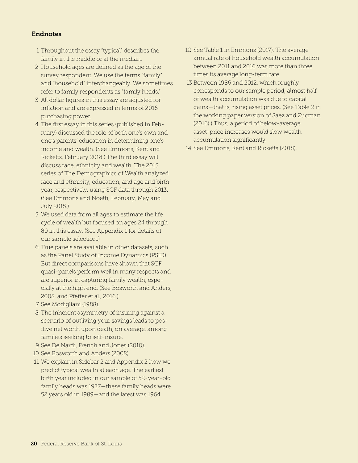#### Endnotes

- 1 Throughout the essay "typical" describes the family in the middle or at the median.
- 2 Household ages are defined as the age of the survey respondent. We use the terms "family" and "household" interchangeably. We sometimes refer to family respondents as "family heads."
- 3 All dollar figures in this essay are adjusted for inflation and are expressed in terms of 2016 purchasing power.
- 4 The first essay in this series (published in February) discussed the role of both one's own and one's parents' education in determining one's income and wealth. (See Emmons, Kent and Ricketts, February 2018.) The third essay will discuss race, ethnicity and wealth. The 2015 series of The Demographics of Wealth analyzed race and ethnicity, education, and age and birth year, respectively, using SCF data through 2013. (See Emmons and Noeth, February, May and July 2015.)
- 5 We used data from all ages to estimate the life cycle of wealth but focused on ages 24 through 80 in this essay. (See Appendix 1 for details of our sample selection.)
- 6 True panels are available in other datasets, such as the Panel Study of Income Dynamics (PSID). But direct comparisons have shown that SCF quasi-panels perform well in many respects and are superior in capturing family wealth, especially at the high end. (See Bosworth and Anders, 2008, and Pfeffer et al., 2016.)
- 7 See Modigliani (1988).
- 8 The inherent asymmetry of insuring against a scenario of outliving your savings leads to positive net worth upon death, on average, among families seeking to self-insure.
- 9 See De Nardi, French and Jones (2010).
- 10 See Bosworth and Anders (2008).
- 11 We explain in Sidebar 2 and Appendix 2 how we predict typical wealth at each age. The earliest birth year included in our sample of 52-year-old family heads was 1937—these family heads were 52 years old in 1989—and the latest was 1964.
- 12 See Table 1 in Emmons (2017). The average annual rate of household wealth accumulation between 2011 and 2016 was more than three times its average long-term rate.
- 13 Between 1986 and 2012, which roughly corresponds to our sample period, almost half of wealth accumulation was due to capital gains—that is, rising asset prices. (See Table 2 in the working paper version of Saez and Zucman (2016).) Thus, a period of below-average asset-price increases would slow wealth accumulation significantly.
- 14 See Emmons, Kent and Ricketts (2018).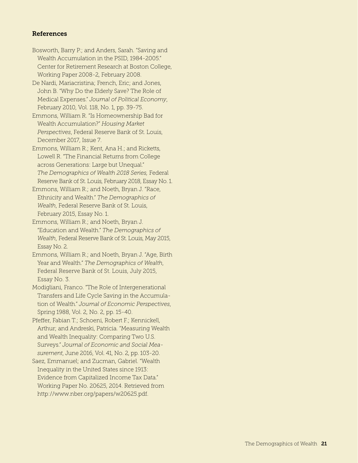#### References

- Bosworth, Barry P.; and Anders, Sarah. "Saving and Wealth Accumulation in the PSID, 1984-2005." Center for Retirement Research at Boston College, Working Paper 2008-2, February 2008.
- De Nardi, Mariacristina; French, Eric; and Jones, John B. "Why Do the Elderly Save? The Role of Medical Expenses." *Journal of Political Economy*, February 2010, Vol. 118, No. 1, pp. 39-75.
- Emmons, William R. "Is Homeownership Bad for Wealth Accumulation?" *Housing Market Perspectives*, Federal Reserve Bank of St. Louis, December 2017, Issue 7.
- Emmons, William R.; Kent, Ana H.; and Ricketts, Lowell R. "The Financial Returns from College across Generations: Large but Unequal." *The Demographics of Wealth 2018 Series,* Federal Reserve Bank of St. Louis, February 2018, Essay No. 1.
- Emmons, William R.; and Noeth, Bryan J. "Race, Ethnicity and Wealth." *The Demographics of Wealth*, Federal Reserve Bank of St. Louis, February 2015, Essay No. 1.
- Emmons, William R.; and Noeth, Bryan J. "Education and Wealth." *The Demographics of Wealth*, Federal Reserve Bank of St. Louis, May 2015, Essay No. 2.
- Emmons, William R.; and Noeth, Bryan J. "Age, Birth Year and Wealth." *The Demographics of Wealth*, Federal Reserve Bank of St. Louis, July 2015, Essay No. 3.
- Modigliani, Franco. "The Role of Intergenerational Transfers and Life Cycle Saving in the Accumulation of Wealth." *Journal of Economic Perspectives*, Spring 1988, Vol. 2, No. 2, pp. 15-40.
- Pfeffer, Fabian T.; Schoeni, Robert F.; Kennickell, Arthur; and Andreski, Patricia. "Measuring Wealth and Wealth Inequality: Comparing Two U.S. Surveys." *Journal of Economic and Social Measurement*, June 2016, Vol. 41, No. 2, pp. 103-20.
- Saez, Emmanuel; and Zucman, Gabriel. "Wealth Inequality in the United States since 1913: Evidence from Capitalized Income Tax Data." Working Paper No. 20625, 2014. Retrieved from http://www.nber.org/papers/w20625.pdf.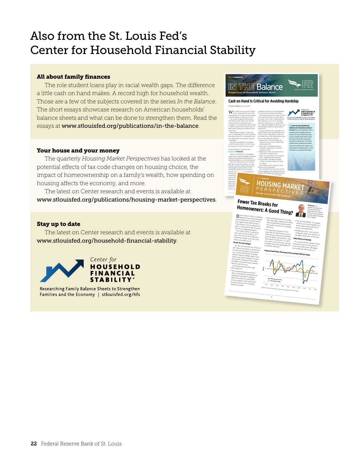### Also from the St. Louis Fed's Center for Household Financial Stability

#### All about family finances

The role student loans play in racial wealth gaps. The difference a little cash on hand makes. A record high for household wealth. Those are a few of the subjects covered in the series *In the Balance*. The short essays showcase research on American households' balance sheets and what can be done to strengthen them. Read the essays at www.stlouisfed.org/publications/in-the-balance.

#### Your house and your money

The quarterly *Housing Market Perspectives* has looked at the potential effects of tax code changes on housing choice, the impact of homeownership on a family's wealth, how spending on housing affects the economy, and more.

The latest on Center research and events is available at www.stlouisfed.org/publications/housing-market-perspectives.

#### Stay up to date

The latest on Center research and events is available at www.stlouisfed.org/household-financial-stability.



Researching Family Balance Sheets to Strengthen Families and the Economy | stlouisfed.org/hfs

| By Emily Gallagher and Jorge Sabat                                                                                                                                                                                                                                                                                                                                                                                                                                                                                                                                                                                                                                                                                                                                                                                                                                                                                                                                      | Cash on Hand Is Critical for Avoiding Hardship                                                                                                                                                                                                                                                                                                                                                                                                                                                                                                                                                                                                                                                                                                                                                                                                                     |                                                                                                                                                                                                                                                                                                                                                                                                                                                                                                                                                                                                                                                                                                                                          |  |
|-------------------------------------------------------------------------------------------------------------------------------------------------------------------------------------------------------------------------------------------------------------------------------------------------------------------------------------------------------------------------------------------------------------------------------------------------------------------------------------------------------------------------------------------------------------------------------------------------------------------------------------------------------------------------------------------------------------------------------------------------------------------------------------------------------------------------------------------------------------------------------------------------------------------------------------------------------------------------|--------------------------------------------------------------------------------------------------------------------------------------------------------------------------------------------------------------------------------------------------------------------------------------------------------------------------------------------------------------------------------------------------------------------------------------------------------------------------------------------------------------------------------------------------------------------------------------------------------------------------------------------------------------------------------------------------------------------------------------------------------------------------------------------------------------------------------------------------------------------|------------------------------------------------------------------------------------------------------------------------------------------------------------------------------------------------------------------------------------------------------------------------------------------------------------------------------------------------------------------------------------------------------------------------------------------------------------------------------------------------------------------------------------------------------------------------------------------------------------------------------------------------------------------------------------------------------------------------------------------|--|
| $\mathbf{W}$ hy would someone keep \$1,000 in<br>a low-earning bank account while<br>owing \$2,000 on a credit card that charges<br>a double-digit percentage interest rate?<br>Our research suggests that keeping a                                                                                                                                                                                                                                                                                                                                                                                                                                                                                                                                                                                                                                                                                                                                                    | population of interest for understanding<br>the antecedents of financial hardship<br>We tracked families who said in the first<br>survey that they hadn't recently experi-<br>enced any of four types of financial hard-                                                                                                                                                                                                                                                                                                                                                                                                                                                                                                                                                                                                                                           | Center for<br><b>HOUSEHOLD</b><br>FINANCIAL<br><b>STABILITY</b><br>Researching Family Balance Sheets to Strengthen<br>Families and the Economy   stilouisfed.org/Ms                                                                                                                                                                                                                                                                                                                                                                                                                                                                                                                                                                      |  |
| cash buffer greatly reduces the risk that<br>a family will miss a payment for rent,<br>mortgage or a recurring bill, will be unable<br>to afford enough food or will be forced to<br>skip needed medical care within the next<br>six months.<br>Many families struggle to make ends<br>meet. A Federal Reserve survey estimated<br>Horry absolutes the U.S. The Hard targeths tarb<br>not easily handle an emergency expense<br>of just \$400. <sup>1</sup><br>Should more families be encouraged<br>to hold a liquidity buffer even if it means<br>incurring more debt in the short-term?<br>Linking Balance Sheets and<br><b>Financial Hardship</b><br>Using a novel data set, we investigated<br>which types of assets and liabilities predicted<br>whether a household would experience<br>financial hardship over a six-month period.                                                                                                                              | ship: delinquency on rent or mortg<br>payments; delinquency on regular bills,<br>e.g., utility bills; skipped medical care; and<br>food hardship, defined as going without<br>mended found<br>To assess whether the composition of a<br>mily's balance sheet helped predict any<br>of these forms of hardship, we asked in<br>the initial survey if the family had any bal-<br>ances in the following categories:<br>· Liquid assets, such as checking and<br>saving accounts, money market funds,<br>and prepaid cards<br>Other assets, including businesses,<br>real estate, retirement or education<br>savings accounts<br>· High-interest debt, such as that from<br>credit cards or payday loans<br>Other unsecured debt, such as student<br>loans, unpaid bills and overdrafts<br>· Secured debt, including mortgages                                        | The Center for Household Financial<br>Stability at the Federal Reserve Bank of<br>St. Louis focuses on family balance sheets.<br>especially those of struggling American<br>families. The Center researches the deter-<br>minants of healthy family balance sheets.<br>their links to the broader economy and<br>new ideas to improve them. The Center's<br>original research, publications and public<br>events aim to impact future research, com-<br>munity practice and public policy. For more<br>information, see www.stlouisfed.org/hfs.                                                                                                                                                                                          |  |
| The survey data that we use is particu-<br>larly apt to study this question, not only<br>because it asks the detailed financial and<br>demographic questions that are often<br>missing from public surveys, but also<br>because it in<br>ervations for                                                                                                                                                                                                                                                                                                                                                                                                                                                                                                                                                                                                                                                                                                                  | or debts secured by businesses, farms<br>or vehicles<br>More details on the categories can be<br>found in the methodology.<br>We centrolled for factors such as incom<br>and demographics and tracked whether the                                                                                                                                                                                                                                                                                                                                                                                                                                                                                                                                                                                                                                                  |                                                                                                                                                                                                                                                                                                                                                                                                                                                                                                                                                                                                                                                                                                                                          |  |
| financial h<br>thermore<br>low-to-mi<br>$\mathbf{B}^{\text{road indexes of real, or inflation.}}$<br>rise and fall with economic activity.<br>This suggests that what's good for<br>homeowners, vis-à-vis rising house<br>prices, is also good for the economy.<br>(See the accompanying figure.)<br>But could a decline in real house<br>prices also be good for the econ-<br>omy? If it's the result of efficiency.<br>enhancing changes in the tax code.<br>many economists say yes.<br>Recent Tax Law Changes<br>The Tax Cuts and Jobs Act (TCJA) of<br>2017 places new limits on deductions<br>for state and local taxes and property<br>taxes, and scales back the mortgage<br>interest deduction (MID). Many econ-<br>omists expect these changes to reduce<br>the number of taxpayers who claim<br>the MID on itemized returns starting<br>with the 2018 tax year.<br>Several provisions of TCJA will<br>affect taxpayers:<br>. The standard deduction was dou- | <b>HOUSING MARKET</b><br>ERSPECTI<br>On the Level with Bill Emmons<br><b>Fewer Tax Breaks for</b><br>Homeowners: A Good Thing?<br>State and local taxes are no longer<br>fully deductible, making it less likely<br>that a household's itemized deduc-<br>tions will exceed the new standard<br>deduction.<br>. The maximum amount of mort-<br>gage debt for which interest can be<br>deducted was reduced to \$750.000<br>from \$1 million for joint filers. $(A_{\rm 1P})$<br>loans taken out after Dec. 15, 2017<br>are subject to the new rule; existing<br>mongages have been grandfathered<br>in with the old limit.)<br><b>B</b> communication of the communication of the communication of the communication of the communication of the communication of the communication of the communication of the communication of the communication of the communic | Bill Emmons is an<br>assistant vice president and<br>economist at the Federal<br>Reserve Bank of St. Louis and<br>the settor economic adviser for<br>the Bank's Center for Household<br>Financial Stability<br>- The tax deductibility of mortgage<br>interest on second mortgages (i.e.,<br>home equity loans) and second<br>homes was scaled back.<br>· Marginal tax rates were reduced,<br>cutting the value to an itemizer of<br>the MID and all other deductions.<br><b>Likely Effects on Housing</b><br>As a result of these changes, many<br>economists expect house prices to<br>trend somewhat lower. <sup>1</sup> Mortgage<br>borrowing and other aspects of<br>Annual Growth Rates: Real House Prices and Real GDP per Capita |  |
| bled, to \$12,000 for individuals and<br>\$24,000 for joint filers, making it<br>likely that most low- and middle-<br>income taxpayers who itemized in<br>the past will choose the standard<br>deduction instead.                                                                                                                                                                                                                                                                                                                                                                                                                                                                                                                                                                                                                                                                                                                                                       | 4h<br><b>Anal Goin Per Capita</b><br><br>1975<br><b>Niko</b><br><b>Ngs</b><br><b>Note</b><br><b>SOURCES: Federal Housing Finance Agency and Brint</b>                                                                                                                                                                                                                                                                                                                                                                                                                                                                                                                                                                                                                                                                                                              | Nos<br>200g<br>2005<br>2010<br>2mc                                                                                                                                                                                                                                                                                                                                                                                                                                                                                                                                                                                                                                                                                                       |  |
|                                                                                                                                                                                                                                                                                                                                                                                                                                                                                                                                                                                                                                                                                                                                                                                                                                                                                                                                                                         | ĭ                                                                                                                                                                                                                                                                                                                                                                                                                                                                                                                                                                                                                                                                                                                                                                                                                                                                  | 2020<br>au of Economic Analysis                                                                                                                                                                                                                                                                                                                                                                                                                                                                                                                                                                                                                                                                                                          |  |
|                                                                                                                                                                                                                                                                                                                                                                                                                                                                                                                                                                                                                                                                                                                                                                                                                                                                                                                                                                         |                                                                                                                                                                                                                                                                                                                                                                                                                                                                                                                                                                                                                                                                                                                                                                                                                                                                    |                                                                                                                                                                                                                                                                                                                                                                                                                                                                                                                                                                                                                                                                                                                                          |  |

ISSUE 18 | NOVEMBER 2017

*Perspectives on Household Balance Sheets*

**IN THE Balance**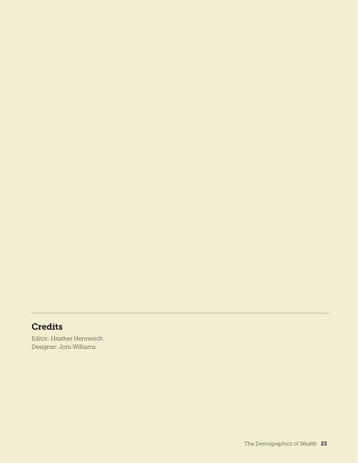### **Credits**

Editor: Heather Hennerich Designer: Joni Williams